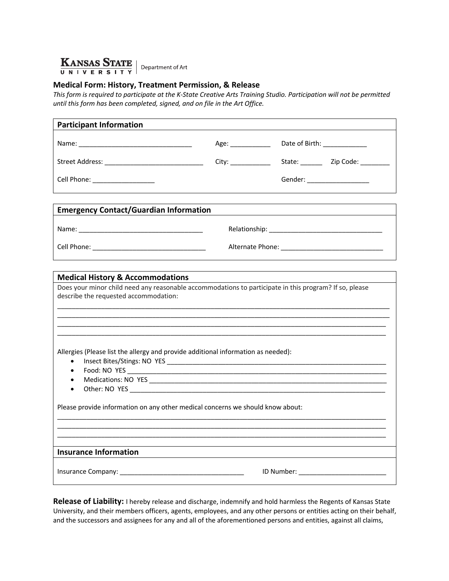

## **Medical Form: History, Treatment Permission, & Release**

*This form is required to participate at the K-State Creative Arts Training Studio. Participation will not be permitted until this form has been completed, signed, and on file in the Art Office.* 

| <b>Participant Information</b>                                                                                                        |                     |                                        |
|---------------------------------------------------------------------------------------------------------------------------------------|---------------------|----------------------------------------|
|                                                                                                                                       |                     |                                        |
|                                                                                                                                       | City: _____________ | State: ___________ Zip Code: _________ |
| Cell Phone: ___________________                                                                                                       |                     | Gender: ____________________           |
| <b>Emergency Contact/Guardian Information</b>                                                                                         |                     |                                        |
|                                                                                                                                       |                     |                                        |
|                                                                                                                                       |                     |                                        |
| describe the requested accommodation:                                                                                                 |                     |                                        |
| Allergies (Please list the allergy and provide additional information as needed):<br>$\bullet$<br>$\bullet$<br>$\bullet$<br>$\bullet$ |                     |                                        |
| Please provide information on any other medical concerns we should know about:                                                        |                     |                                        |
|                                                                                                                                       |                     |                                        |
| <b>Insurance Information</b>                                                                                                          |                     |                                        |
| ID Number: _____________________________                                                                                              |                     |                                        |

**Release of Liability:** I hereby release and discharge, indemnify and hold harmless the Regents of Kansas State University, and their members officers, agents, employees, and any other persons or entities acting on their behalf, and the successors and assignees for any and all of the aforementioned persons and entities, against all claims,